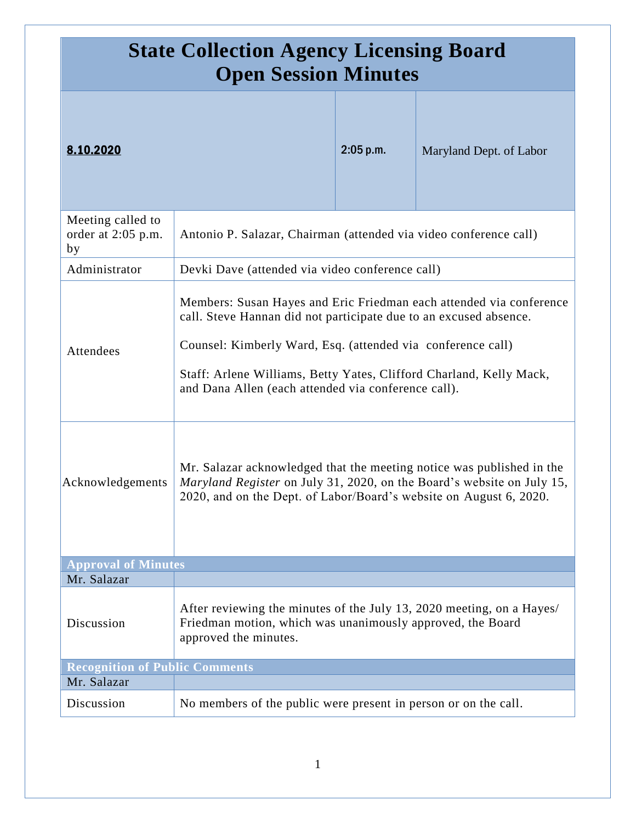| <b>State Collection Agency Licensing Board</b><br><b>Open Session Minutes</b> |                                                                                                                                                                                                                                                                                                                                       |           |                         |
|-------------------------------------------------------------------------------|---------------------------------------------------------------------------------------------------------------------------------------------------------------------------------------------------------------------------------------------------------------------------------------------------------------------------------------|-----------|-------------------------|
| 8.10.2020                                                                     |                                                                                                                                                                                                                                                                                                                                       | 2:05 p.m. | Maryland Dept. of Labor |
| Meeting called to<br>order at 2:05 p.m.<br>by                                 | Antonio P. Salazar, Chairman (attended via video conference call)                                                                                                                                                                                                                                                                     |           |                         |
| Administrator                                                                 | Devki Dave (attended via video conference call)                                                                                                                                                                                                                                                                                       |           |                         |
| Attendees                                                                     | Members: Susan Hayes and Eric Friedman each attended via conference<br>call. Steve Hannan did not participate due to an excused absence.<br>Counsel: Kimberly Ward, Esq. (attended via conference call)<br>Staff: Arlene Williams, Betty Yates, Clifford Charland, Kelly Mack,<br>and Dana Allen (each attended via conference call). |           |                         |
| Acknowledgements                                                              | Mr. Salazar acknowledged that the meeting notice was published in the<br>Maryland Register on July 31, 2020, on the Board's website on July 15,<br>2020, and on the Dept. of Labor/Board's website on August 6, 2020.                                                                                                                 |           |                         |
| <b>Approval of Minutes</b>                                                    |                                                                                                                                                                                                                                                                                                                                       |           |                         |
| Mr. Salazar                                                                   |                                                                                                                                                                                                                                                                                                                                       |           |                         |
| Discussion                                                                    | After reviewing the minutes of the July 13, 2020 meeting, on a Hayes/<br>Friedman motion, which was unanimously approved, the Board<br>approved the minutes.                                                                                                                                                                          |           |                         |
| <b>Recognition of Public Comments</b><br>Mr. Salazar                          |                                                                                                                                                                                                                                                                                                                                       |           |                         |
| Discussion                                                                    | No members of the public were present in person or on the call.                                                                                                                                                                                                                                                                       |           |                         |
|                                                                               |                                                                                                                                                                                                                                                                                                                                       |           |                         |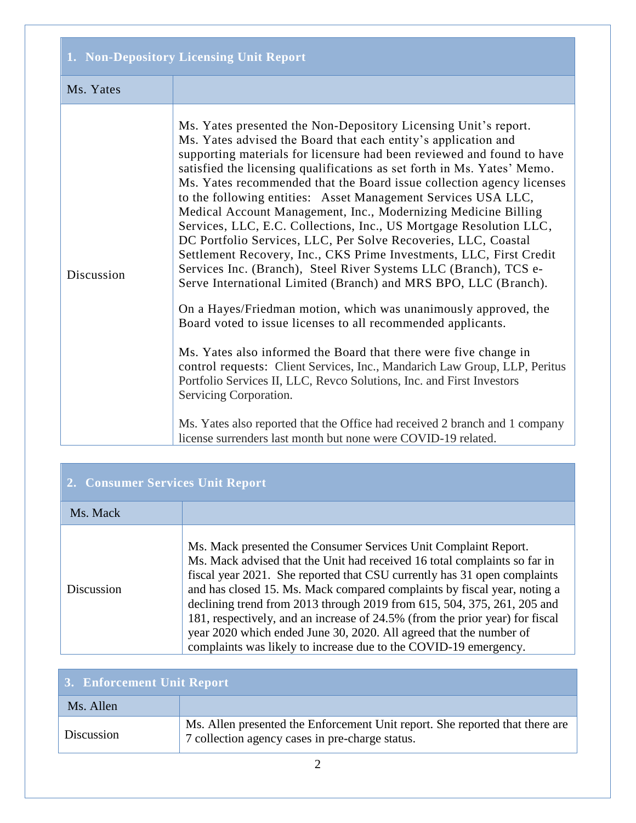| 1. Non-Depository Licensing Unit Report |                                                                                                                                                                                                                                                                                                                                                                                                                                                                                                                                                                                                                                                                                                                                                                                                                                                                                                                                                                                                                                                                                                                                                                                                                                                                                                                                                                                                  |  |
|-----------------------------------------|--------------------------------------------------------------------------------------------------------------------------------------------------------------------------------------------------------------------------------------------------------------------------------------------------------------------------------------------------------------------------------------------------------------------------------------------------------------------------------------------------------------------------------------------------------------------------------------------------------------------------------------------------------------------------------------------------------------------------------------------------------------------------------------------------------------------------------------------------------------------------------------------------------------------------------------------------------------------------------------------------------------------------------------------------------------------------------------------------------------------------------------------------------------------------------------------------------------------------------------------------------------------------------------------------------------------------------------------------------------------------------------------------|--|
| Ms. Yates                               |                                                                                                                                                                                                                                                                                                                                                                                                                                                                                                                                                                                                                                                                                                                                                                                                                                                                                                                                                                                                                                                                                                                                                                                                                                                                                                                                                                                                  |  |
| Discussion                              | Ms. Yates presented the Non-Depository Licensing Unit's report.<br>Ms. Yates advised the Board that each entity's application and<br>supporting materials for licensure had been reviewed and found to have<br>satisfied the licensing qualifications as set forth in Ms. Yates' Memo.<br>Ms. Yates recommended that the Board issue collection agency licenses<br>to the following entities: Asset Management Services USA LLC,<br>Medical Account Management, Inc., Modernizing Medicine Billing<br>Services, LLC, E.C. Collections, Inc., US Mortgage Resolution LLC,<br>DC Portfolio Services, LLC, Per Solve Recoveries, LLC, Coastal<br>Settlement Recovery, Inc., CKS Prime Investments, LLC, First Credit<br>Services Inc. (Branch), Steel River Systems LLC (Branch), TCS e-<br>Serve International Limited (Branch) and MRS BPO, LLC (Branch).<br>On a Hayes/Friedman motion, which was unanimously approved, the<br>Board voted to issue licenses to all recommended applicants.<br>Ms. Yates also informed the Board that there were five change in<br>control requests: Client Services, Inc., Mandarich Law Group, LLP, Peritus<br>Portfolio Services II, LLC, Revco Solutions, Inc. and First Investors<br>Servicing Corporation.<br>Ms. Yates also reported that the Office had received 2 branch and 1 company<br>license surrenders last month but none were COVID-19 related. |  |

| 2. Consumer Services Unit Report |                                                                                                                                                                                                                                                                                                                                                                                                                                                                                                                                                                                                           |  |
|----------------------------------|-----------------------------------------------------------------------------------------------------------------------------------------------------------------------------------------------------------------------------------------------------------------------------------------------------------------------------------------------------------------------------------------------------------------------------------------------------------------------------------------------------------------------------------------------------------------------------------------------------------|--|
| Ms. Mack                         |                                                                                                                                                                                                                                                                                                                                                                                                                                                                                                                                                                                                           |  |
| Discussion                       | Ms. Mack presented the Consumer Services Unit Complaint Report.<br>Ms. Mack advised that the Unit had received 16 total complaints so far in<br>fiscal year 2021. She reported that CSU currently has 31 open complaints<br>and has closed 15. Ms. Mack compared complaints by fiscal year, noting a<br>declining trend from 2013 through 2019 from 615, 504, 375, 261, 205 and<br>181, respectively, and an increase of 24.5% (from the prior year) for fiscal<br>year 2020 which ended June 30, 2020. All agreed that the number of<br>complaints was likely to increase due to the COVID-19 emergency. |  |

| 3. Enforcement Unit Report |                                                                                                                                 |  |
|----------------------------|---------------------------------------------------------------------------------------------------------------------------------|--|
| Ms. Allen                  |                                                                                                                                 |  |
| Discussion                 | Ms. Allen presented the Enforcement Unit report. She reported that there are<br>7 collection agency cases in pre-charge status. |  |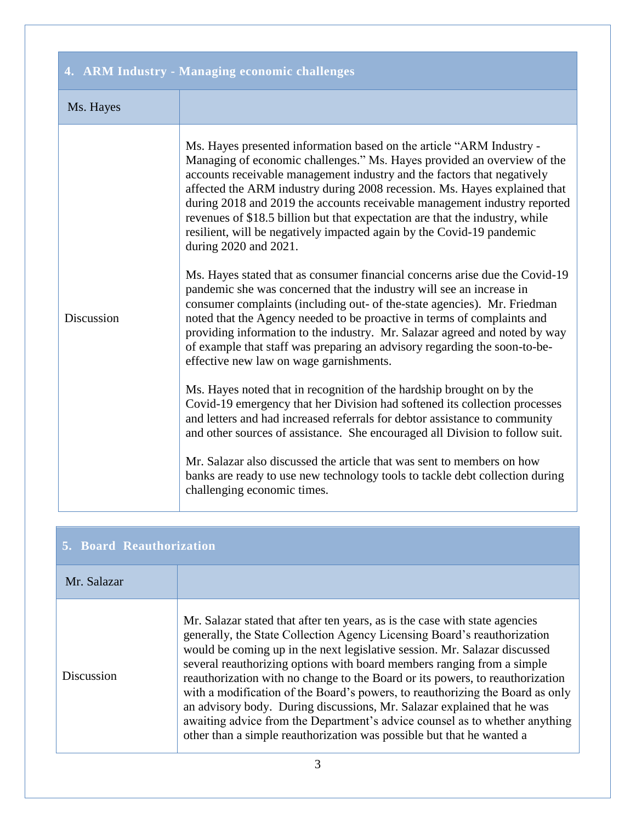| 4. ARM Industry - Managing economic challenges |                                                                                                                                                                                                                                                                                                                                                                                                                                                                                                                                                                                                                                                                                                                                                                                                                                                                                                                                                                                                                                                                                                                                                                                                                                                                                                                                                                                                                                                                                                                                                                                                          |  |
|------------------------------------------------|----------------------------------------------------------------------------------------------------------------------------------------------------------------------------------------------------------------------------------------------------------------------------------------------------------------------------------------------------------------------------------------------------------------------------------------------------------------------------------------------------------------------------------------------------------------------------------------------------------------------------------------------------------------------------------------------------------------------------------------------------------------------------------------------------------------------------------------------------------------------------------------------------------------------------------------------------------------------------------------------------------------------------------------------------------------------------------------------------------------------------------------------------------------------------------------------------------------------------------------------------------------------------------------------------------------------------------------------------------------------------------------------------------------------------------------------------------------------------------------------------------------------------------------------------------------------------------------------------------|--|
| Ms. Hayes                                      |                                                                                                                                                                                                                                                                                                                                                                                                                                                                                                                                                                                                                                                                                                                                                                                                                                                                                                                                                                                                                                                                                                                                                                                                                                                                                                                                                                                                                                                                                                                                                                                                          |  |
| Discussion                                     | Ms. Hayes presented information based on the article "ARM Industry -<br>Managing of economic challenges." Ms. Hayes provided an overview of the<br>accounts receivable management industry and the factors that negatively<br>affected the ARM industry during 2008 recession. Ms. Hayes explained that<br>during 2018 and 2019 the accounts receivable management industry reported<br>revenues of \$18.5 billion but that expectation are that the industry, while<br>resilient, will be negatively impacted again by the Covid-19 pandemic<br>during 2020 and 2021.<br>Ms. Hayes stated that as consumer financial concerns arise due the Covid-19<br>pandemic she was concerned that the industry will see an increase in<br>consumer complaints (including out- of the-state agencies). Mr. Friedman<br>noted that the Agency needed to be proactive in terms of complaints and<br>providing information to the industry. Mr. Salazar agreed and noted by way<br>of example that staff was preparing an advisory regarding the soon-to-be-<br>effective new law on wage garnishments.<br>Ms. Hayes noted that in recognition of the hardship brought on by the<br>Covid-19 emergency that her Division had softened its collection processes<br>and letters and had increased referrals for debtor assistance to community<br>and other sources of assistance. She encouraged all Division to follow suit.<br>Mr. Salazar also discussed the article that was sent to members on how<br>banks are ready to use new technology tools to tackle debt collection during<br>challenging economic times. |  |

| 5. Board Reauthorization |                                                                                                                                                                                                                                                                                                                                                                                                                                                                                                                                                                                                                                                                                                                     |
|--------------------------|---------------------------------------------------------------------------------------------------------------------------------------------------------------------------------------------------------------------------------------------------------------------------------------------------------------------------------------------------------------------------------------------------------------------------------------------------------------------------------------------------------------------------------------------------------------------------------------------------------------------------------------------------------------------------------------------------------------------|
| Mr. Salazar              |                                                                                                                                                                                                                                                                                                                                                                                                                                                                                                                                                                                                                                                                                                                     |
| Discussion               | Mr. Salazar stated that after ten years, as is the case with state agencies<br>generally, the State Collection Agency Licensing Board's reauthorization<br>would be coming up in the next legislative session. Mr. Salazar discussed<br>several reauthorizing options with board members ranging from a simple<br>reauthorization with no change to the Board or its powers, to reauthorization<br>with a modification of the Board's powers, to reauthorizing the Board as only<br>an advisory body. During discussions, Mr. Salazar explained that he was<br>awaiting advice from the Department's advice counsel as to whether anything<br>other than a simple reauthorization was possible but that he wanted a |